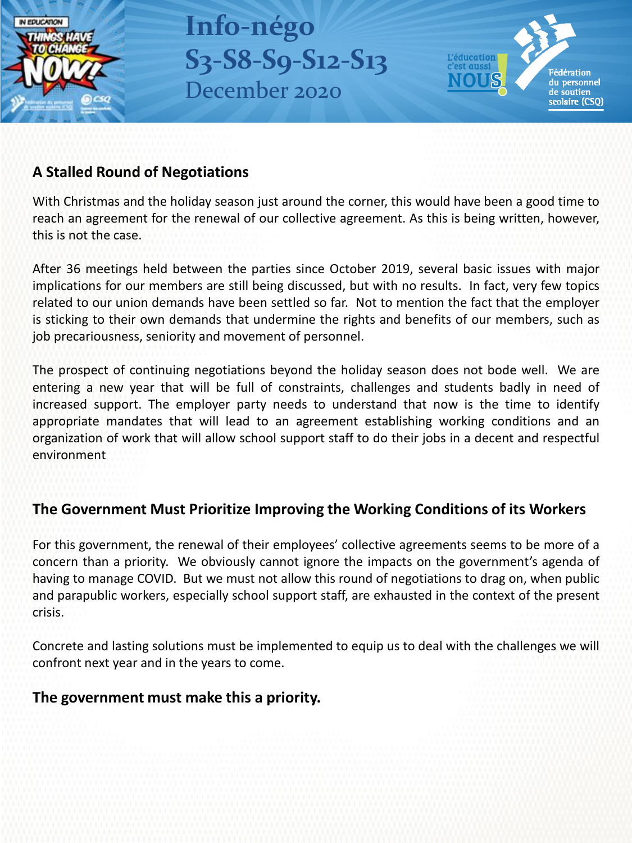

**Info-négo S3-S8-S9-S12-S13** December 2020



## **A Stalled Round of Negotiations**

With Christmas and the holiday season just around the corner, this would have been a good time to reach an agreement for the renewal of our collective agreement. As this is being written, however, this is not the case.

After 36 meetings held between the parties since October 2019, several basic issues with major implications for our members are still being discussed, but with no results. In fact, very few topics related to our union demands have been settled so far. Not to mention the fact that the employer is sticking to their own demands that undermine the rights and benefits of our members, such as job precariousness, seniority and movement of personnel.

The prospect of continuing negotiations beyond the holiday season does not bode well. We are entering a new year that will be full of constraints, challenges and students badly in need of increased support. The employer party needs to understand that now is the time to identify appropriate mandates that will lead to an agreement establishing working conditions and an organization of work that will allow school support staff to do their jobs in a decent and respectful environment

# **The Government Must Prioritize Improving the Working Conditions of its Workers**

For this government, the renewal of their employees' collective agreements seems to be more of a concern than a priority. We obviously cannot ignore the impacts on the government's agenda of having to manage COVID. But we must not allow this round of negotiations to drag on, when public and parapublic workers, especially school support staff, are exhausted in the context of the present crisis.

Concrete and lasting solutions must be implemented to equip us to deal with the challenges we will confront next year and in the years to come.

### **The government must make this a priority.**